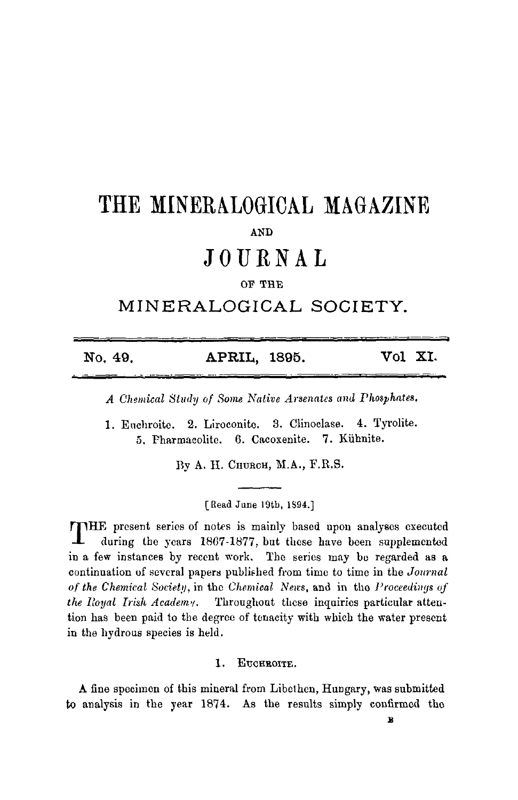# **THE MINERALOGICAL MAGAZINE**  AND

## **JOURNAL**

#### OF THE

### **MINERALOGICAL SOCIETY.**

|         |              | Vol XI. |  |
|---------|--------------|---------|--|
| No. 49. | APRIL, 1895. |         |  |

*A Chemical Study of Some Native Arsenates and Phosphates.* 

1. Enehroite. 9,. Liroconite. 3. Clinoelase. 4. Tyrolite. 5. Pharmacolite. 6. Caeoxenite. 7. Kiihnite.

Ву А. Н. Сни $_{\text{RCH}}$ , М.А., F.R.S.

[Read June 19tb, **IS94.]** 

THE present series of notes is mainly based upon analyses executed during the years 1867-1877, but these have been supplemented in a few instances by recent work. The series may be regarded as a continuation of several papers published from time to time in the *Journal of the Chemical So~etp,* in the *Chemical Nea's,* and in the *Proceedings of the Royal Irish Academy.* Throughout these inquiries particular attention has been paid to the degree of tenacity with which the water present in the hydrous species is held.

1. EUCHROITE.

to analysis in the year 1874. As the results simply confirmed the A fine specimen of this mineral from Libelhen, Hungary, was submitted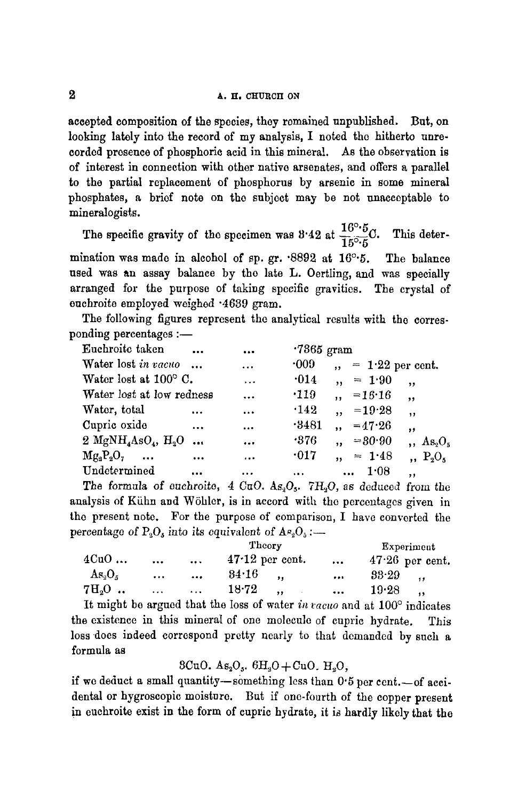accepted composition of the species, they remained unpublished. But, on looking lately into the record of my analysis, I noted the hitherto unrecorded presence of phosphoric acid in this mineral. As the observation is of interest in connection with other native arsenates, and offers a parallel to the partial replacement of phosphorus by arsenic in some mineral phosphates, a brief note on the subject may be not unacceptable to mineralogists.

The specific gravity of the specimen was 8'42 at  $\frac{16^{\circ}5}{15^{\circ}5}C$ . This determination was made in alcohol of sp. gr.  $.8892$  at  $16°.5$ . The balance used was an assay balance by the late L. Oertling, and was specially arranged for the purpose of taking specific gravities. The crystal of euehroite employed weighed "4639 gram.

The following figures represent the analytical results with the corresponding percentages :-

| Euchroite taken                                         | $\cdots$             | $\ddotsc$ | $.7365$ gram |                                                   |
|---------------------------------------------------------|----------------------|-----------|--------------|---------------------------------------------------|
| Water lost in vacuo                                     |                      | $\ddotsc$ | $\cdot 009$  | $, = 1.22$ per cent.                              |
| Water lost at $100^{\circ}$ C.                          |                      | $\ddotsc$ | $\cdot$ 014  | $= 1.90$<br>,                                     |
| Water lost at low redness                               |                      | $\ddotsc$ | $\cdot$ 119  | $, =16.16$<br>$, \cdot$                           |
| Water, total                                            | $\cdots$             | $\cdots$  | $\cdot$ 142  | $,  =19.28$<br>,,                                 |
| Cupric oxide                                            | $\cdots$             |           | $-3481$      | $, -47.26$<br>$, \,$                              |
| 2 MgNH <sub>4</sub> AsO <sub>4</sub> , H <sub>2</sub> O | $\ddot{\phantom{a}}$ | $\ddotsc$ | .376         | $, = 80.90$<br>$As_2O_5$                          |
| $Mg_2P_2O_7 \dots$                                      | $\cdots$             | $\cdots$  | $\cdot$ 017  | $= 1.48$<br>$\cdot$ P <sub>2</sub> O <sub>s</sub> |
| Undetermined                                            | $\cdots$             | .         | $\cdots$     | 1.08<br>$\ddotsc$<br>,,                           |

The formula of *euchroite*,  $4 \text{ CuO. } As_2O_3$ . 7H<sub>3</sub>O, as deduced from the analysis of Kühn and Wöhler, is in accord with the percentages given in the present note. For the purpose of comparison, I have converted the percentage of  $P_2O_5$  into its equivalent of  $A_{\alpha_2}O_5$ :-

|           |          |              | Theory                                      | Experiment                    |                   |
|-----------|----------|--------------|---------------------------------------------|-------------------------------|-------------------|
| 4CuO      | $\cdots$ | $\cdots$     | $47.12$ per cent.                           | $\cdots$                      | $47.26$ per cent. |
| $As_2O_5$ | $\cdots$ | $\cdots$     | 34.16                                       | $\bullet$ $\bullet$ $\bullet$ | 33.29             |
| $7H3O$    | $\cdots$ | $\mathbf{A}$ | $18 - 72$<br>$\ddot{\phantom{1}}$<br>$\sim$ | $\cdots$                      | 19.28             |

It might be argued that the loss of water *in cacuo* and at 100° indicates the existence in this mineral of one molecule of cupric hydrate. This loss does indeed correspond pretty nearly to that demanded by such a formula as

#### 8CuO.  $As_2O_5$ .  $6H_2O+CuO$ .  $H_2O$ ,

if we deduct a small quantity-something less than  $0.5$  per cent.--of accidental or hygroscopic moisture. But if one-fourth of the copper present in euehroite exist in the form of cupric hydrate, it is hardly likely that the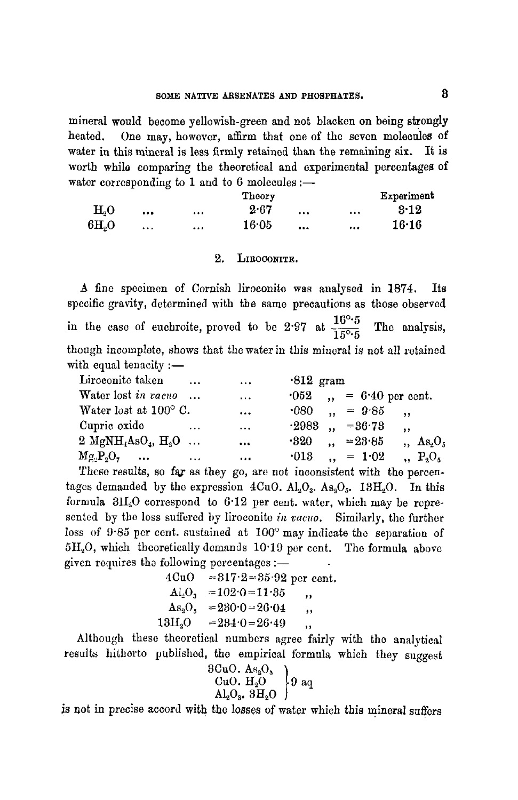mineral would become yellowish-green and not blacken on being strongly heated. One may, however, affirm that one of the seven molecules of water in this mineral is less firmly retained than the remaining six. It is worth while comparing the theoretical and experimental percentages of water corresponding to 1 and to 6 molecules :-

|                |          | Theory    |          | Experiment   |
|----------------|----------|-----------|----------|--------------|
| H <sub>0</sub> |          | <br>2.67  | $\cdots$ | <br>$3 - 12$ |
| 6H, O          | $\cdots$ | <br>16 05 | 0.55     | <br>16.16    |

#### 2, LIROCONITE,

A fine specimen of Cornish liroeonito was analysed in 1874. Its specific gravity, determined with the same precautions as those observed in the case of euchroite, proved to be 2.97 at  $\frac{10^{\circ}5}{15^{\circ}5}$  The analysis, though incomplete, shows that the water in this mineral is not all retained with equal tenacity  $:=$ 

| Liroconite taken                                     | $\cdots$ | $\cdots$  | $-812$ gram |                             |                          |
|------------------------------------------------------|----------|-----------|-------------|-----------------------------|--------------------------|
| Water lost in vacuo                                  |          | $\cdots$  |             | $0.62$ , $= 6.40$ per cent. |                          |
| Water lost at $100^{\circ}$ C.                       |          | $\cdots$  |             | $\cdot 080$ , = $9.85$ ,    |                          |
| Cupric oxide                                         | $\cdots$ | $\cdots$  |             | $-2988$ $-86.78$            | $\cdot$                  |
| 2 $\text{MgNH}_4\text{AsO}_4$ , $\text{H}_2\text{O}$ |          |           | $\cdot$ 320 | $\therefore$ =23.85         | $As_2O_5$                |
| $Mg_1P_2O_7 \dots$                                   | $\cdots$ | $\ddotsc$ | $\cdot$ 013 | $, = 1.02$                  | $\cdot$ $\cdot$ $P_2O_5$ |

These results, so far as they go, are not inconsistent with the percentages demanded by the expression  $4CuO. A l<sub>2</sub>O<sub>3</sub>. As<sub>3</sub>O<sub>5</sub>. 13H<sub>2</sub>O.$  In this formula 31120 correspond to 6"12 per cent. water, which may be represented by the loss suffered hy liroconite *in vacuo.* Similarly, the further loss of  $9.85$  per cent. sustained at  $100^\circ$  may indicate the separation of  $5H<sub>2</sub>O$ , which theoretically demands  $10.19$  per cent. The formula above given requires the following percentages : $-$ 

> $4CuO = 817.2 = 35.92$  per cent.  $\text{Al}_3\text{O}_3$  =102.0=11.35 ,  $\text{As}_2\text{O}_5$  =230.0 - 26.04 ,  $13H_2O = 284.0 = 26.49$ ,

Although these theoretical numbers agree fairly with the analytical results hitherto published, the empirical formula which they suggest

$$
\begin{array}{c} \text{3CuO. As}_{2}\text{O}_{3} \\ \text{CuO. H}_{2}\text{O} \\ \text{Al}_{2}\text{O}_{3}, \text{ 3H}_{2}\text{O} \end{array} \bigg\} \text{9 aq}
$$

is not in precise accord with the losses of water which this mineral suffers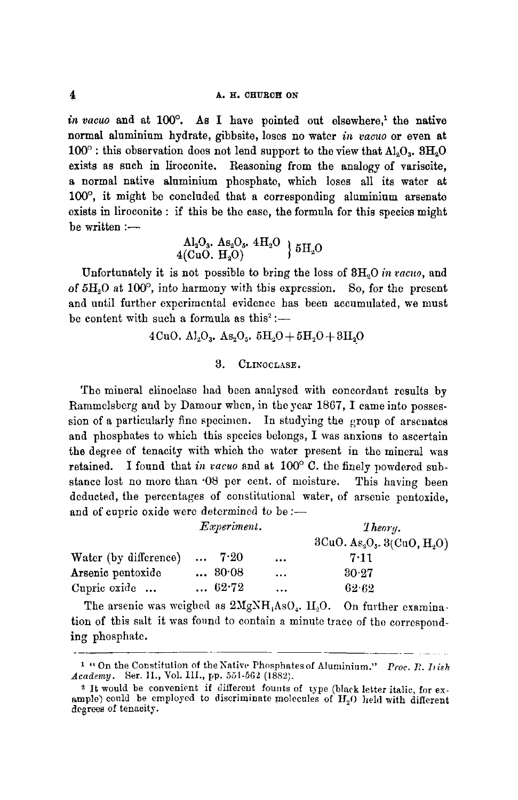$in\ vacuo$  and at  $100^\circ$ . As I have pointed out elsewhere.<sup>1</sup> the native normal aluminium hydrate, gibbsite, loses no water *in vacuo* or even at  $100^\circ$ : this observation does not lend support to the view that  $\text{Al}_2\text{O}_3$ .  $3\text{H}_2\text{O}$ exists as such in liroconite. Reasoning from the analogy of variscite, a normal native aluminium phosphate, which loses all its water at  $100^\circ$ , it might be concluded that a corresponding aluminium arsenate exists in liroconite : if this be the case, the formula for this species might  $be written :=$ 

 ${\rm Al_2O_3.}$   ${\rm As_2O_5.}$   ${\rm 4H_2O}$   ${\rm 15H_2O}$ 

Unfortunately it is not possible to bring the loss of 8H~O *in racuo,* and of  $5H<sub>2</sub>O$  at  $100^{\circ}$ , into harmony with this expression. So, for the present and until further experimental evidence has been accumulated, we must be content with such a formula as this<sup>2</sup> :-

4CuO. Al<sub>2</sub>O<sub>3</sub>. As<sub>2</sub>O<sub>5</sub>. 5H<sub>2</sub>O + 5H<sub>2</sub>O + 3H<sub>2</sub>O

#### 8. CLINOCLASE.

The mineral elinoclasc had been analysed with concordant results by Rammelsberg and by Damour when, in the year 1867, I came into possession of a particularly fine specimen. In studying the group of arsenates and phosphates to which this species belongs, I was anxious to ascertain the degree of tenacity with which the water present in the mineral was retained. I found that in vacuo and at  $100^{\circ}$  C. the finely powdered substance lost no more than '08 per cent. of moisture. This having been deducted, the percentages of constitutional water, of arsenic pentoxide. and of cupric oxide were determined to be :-

|                       | <i>Experiment.</i> |         |          | The or u.                     |  |  |
|-----------------------|--------------------|---------|----------|-------------------------------|--|--|
|                       |                    |         |          | $3CuO. As2O5$ , $3(CuO, H2O)$ |  |  |
| Water (by difference) | $\cdots$           | $-7.20$ | $\cdots$ | 7.11                          |  |  |
| Arsenic pentoxide     |                    | 80.08   | $\cdots$ | 30.27                         |  |  |
| Cupric oxide          |                    | 62.72   | $\cdots$ | $62 - 62$                     |  |  |

The arsenic was weighed as  $2MgNH<sub>4</sub>AsO<sub>4</sub>$ .  $H<sub>2</sub>O$ . On further examination of this salt it was found to contain a minute trace of the corresponding phosphate.

<sup>&</sup>lt;sup>1</sup> " On the Constitution of the Native Phosphates of Aluminium." *Proc. R. Iish Academy.* Ser. II., Vol. III., pp. 551-562 (1882).

<sup>2</sup> It would be convenient if different founts of type (black letter italic, for example) could be employed to discriminate molecules of  $H_2O$  held with different degrees of tenacity.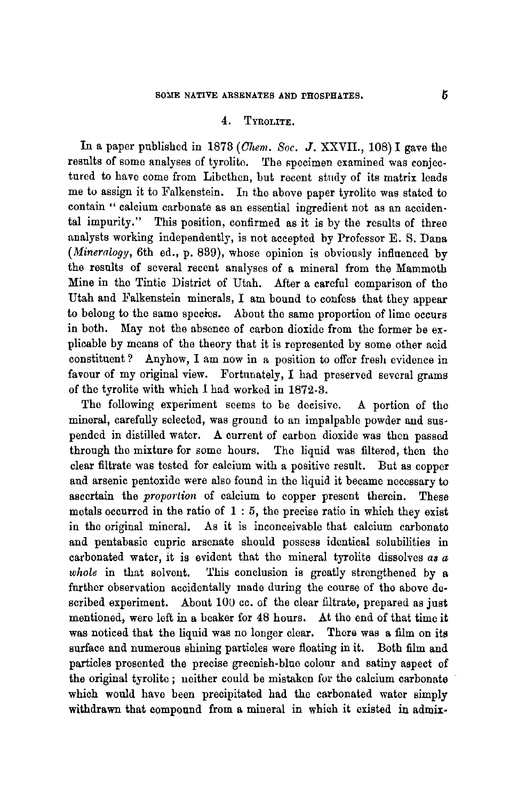#### 4. TYROLITE.

In a paper published in 1873 *(Ghem. See. J.* XXVII., 108) I gave the results of some analyses of tyrolite. The specimen examined was eonjectared to have come from Libethen, but recent study of its matrix leads me to assign it to Falkenstein. In the above paper tyrolite was stated to contain " calcium carbonate as an essential ingredient not as an accidental impurity." This position, confirmed as it is by the results of three analysts working independently, is not accepted by Professor E. S. Dana *(Mineralogy,* 6th ed., p. 889), whose opinion is obviously influenced by the results of several recent analyses of a mineral from the Mammoth Mine in the Tintic District of Utah. After a careful comparison of the Utah and Falkenstein minerals, I am bound to confess that they appear to belong to the same species. About the same proportion of lime occurs in both. May not the absence of carbon dioxide from the former be explicable by means of the theory that it is represented by some other acid constituent ? Anyhow, I am now in a position to offer fresh evidence in favour of my original view. Fortunately, I had preserved several grams of the tyrolite with which I had worked in 1872-3.

The following experiment seems to be decisive. A portion of the mineral, carefully selected, was ground to an impalpable powder and suspended in distilled water. A current of carbon dioxide was then passed through the mixture for some hours. The liquid was filtered, then the clear filtrate was tested for calcium with a positive result. But as copper and arsenic pentoxide were also found in the liquid it became necessary to ascertain the *proportion* of calcium to copper present therein. These metals occurred in the ratio of  $1:5$ , the precise ratio in which they exist in the original mineral. As it is inconceivable that calcium carbonato and pentabasic cupric arsenate should possess identical solubilities in carbonated water, it is evident that the mineral tyrolite dissolves as  $a$ *whole* in that solvent. This conclusion is greatly strengthened by a further observation accidentally made during the course of the above described experiment. About 100 cc. of the clear filtrate, prepared as just mentioned, were left in a beaker for 48 hours. At the end of that time it was noticed that the liquid was no longer clear. There was a film on its surface and numerous shining particles were floating in it. Both film and particles presented the precise greenish-blue colour and satiny aspect of the original tyrolite ; neither could be mistaken for the calcium carbonate which would have been precipitated had the carbonated water simply withdrawn that compound from a mineral in which it existed in admix-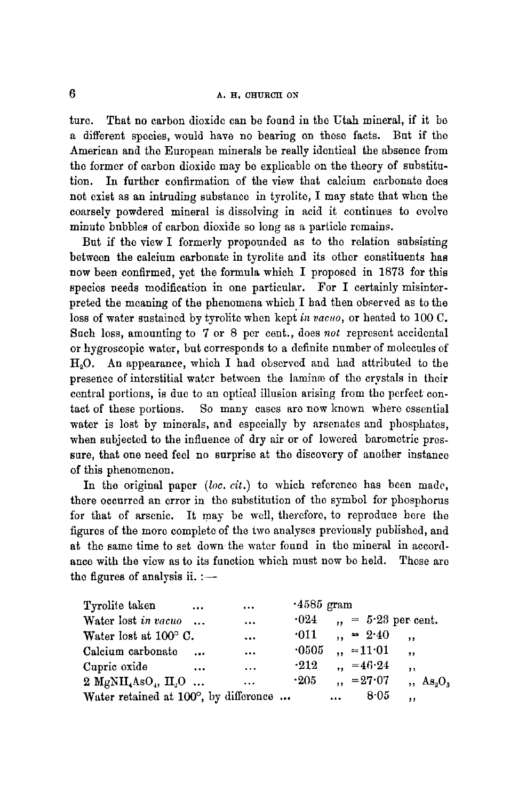#### $\overline{6}$  **A. H. CHURCH ON**

ture. That no carbon dioxide can be found in the Utah mineral, if it be a different species, would have no bearing on these facts. But if the American and the European minerals be really identical the absence from the former of carbon dioxide may be explicable on the theory of substitution. In further confirmation of the view that calcium carbonate does not exist as an intruding substance in tyrolite, I may state that when the coarsely powdered mineral is dissolving in acid it continues to evolve minute bubbles of carbon dioxide so long as a particle remains.

But if the view I formerly propounded as to the relation subsisting between the calcium carbonate in tyrolite and its other constituents has now been confirmed, yet the formula which I proposed in 1873 for this species needs modification in one particular. For I certainly misinterpreted the meaning of the phenomena which I had then observed as to the loss of water sustained by tyrolite when kept *in vacuo*, or heated to 100 C. Such loss, amounting to 7 or 8 per cent., does *not* represent accidental or hygroscopic water, but corresponds to a definite number of molecules of  $H<sub>9</sub>O$ . An appearance, which I had observed and had attributed to the presence of interstitial water between the lamine of the crystals in their central portions, is duc to an optical illusion arising from the perfect contact of these portions. So many cases are now known where essential water is lost by minerals, and especially by arsenates and phosphates, when subjected to the influence of dry air or of lowered barometric pressure, that one need feel no surprise at the discovery of another instance of this phenomenon.

In the original paper *(lee. cit.)* to which reference has been made, there occurred an error in the substitution of the symbol for phosphorus for that of arsenic. It may be well, therefore, to reproduce here the figures of the more complete of the two analyses previously published, and at the same time to set down the water found in the mineral in accordance with the view as to its function which must now be held. These are the figures of analysis ii.  $:$   $-$ 

| Tyrolite taken                                          | $\cdots$ | $\cdots$  | $-4585$ gram |          |                     |                      |
|---------------------------------------------------------|----------|-----------|--------------|----------|---------------------|----------------------|
| Water lost in vacuo                                     |          | $\cdots$  | $\cdot$ 024  |          |                     | $, = 5.23$ per cent. |
| Water lost at $100^{\circ}$ C.                          |          | $\ddotsc$ | $\cdot$ 011  |          | $, = 2.40$          | $\cdot$ .            |
| Calcium carbonato                                       | $\cdots$ | $\cdots$  | $\cdot$ 0505 |          | $, = 11.01$         | $, \,$               |
| Cupric oxide                                            | $\cdots$ | $\cdots$  | $-212$       |          | $\therefore$ =46.24 | $\bullet$            |
| 2 MgNH <sub>4</sub> AsO <sub>4</sub> , H <sub>2</sub> O |          | $\ddotsc$ | $\cdot 205$  |          | $\mu = 27.07$       | $, As_3O_3$          |
| Water retained at 100°, by difference                   |          |           |              | $\cdots$ | 8.05                | ,,                   |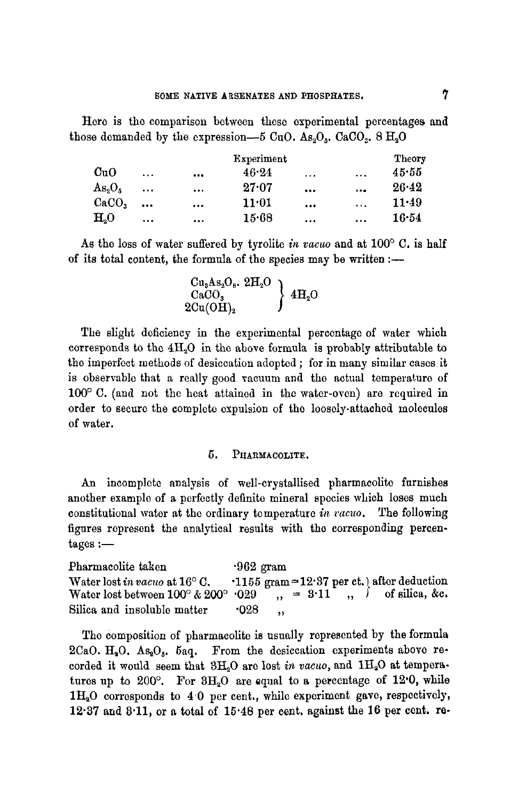Here is the comparison between these experimental percentages and those demanded by the expression--5 CuO. As<sub>2</sub>O<sub>s</sub>. CaCO<sub>2</sub>, 8 H<sub>2</sub>O

|                                |           |          | Experiment      |          |          | Theory    |
|--------------------------------|-----------|----------|-----------------|----------|----------|-----------|
| CuO                            | $\cdots$  |          | 46.24           | $\cdots$ | $\cdots$ | 45.55     |
| As <sub>2</sub> O <sub>5</sub> | $\ddotsc$ | $\cdots$ | 27.07           |          | $\cdots$ | $26 - 42$ |
| CaCO <sub>3</sub>              | $\cdots$  | $\cdots$ | $11\!\cdot\!01$ |          | $\cdots$ | $11 - 49$ |
| H <sub>2</sub> O               | $\cdots$  |          | 15.68           | $\cdots$ | $\cdots$ | 16.54     |

As the loss of water suffered by tyrolite *in vacuo* and at 100° C. is half of its total content, the formula of the species may be written  $:$ --

> $Cu<sub>3</sub>As<sub>2</sub>O<sub>8</sub>$ ,  $2H<sub>2</sub>O$  }  $CaCO<sub>3</sub>$   $\qquad \qquad \rightarrow 4H<sub>2</sub>O$  $2\mathrm{Cu}(\mathrm{OH})_{2}$

The slight deficiency in the experimental percentage of water which corresponds to the  $4H<sub>2</sub>O$  in the above formula is probably attributable to the imperfect methods of desiccation adopted ; for in many similar cases it is observable that a really good vacuum and the actual temperature of  $100^{\circ}$  C. (and not the heat attained in the water-oven) are required in order to secure the complete expulsion of the loosely-attached molecules of water.

#### 5. PHARMACOLITE.

An incomplete analysis of well-erystallised pharmacolite furnishes another example of a perfectly definite mineral species which loses much constitutional water at the ordinary temperature *in vacuo.* The following figures represent the analytical results with the corresponding percen $tages :=$ 

Pharmacolite taken "962 gram" Water lost *in vacuo* at  $16^{\circ}$  C.  $1155$  gram  $\approx$  12.37 per ct. after deduction Water lost between  $100^\circ \& 200^\circ \& 029^\circ$ , =  $8.11^\circ$ ,  $\circ$  of silica, &c. Silica and insoluble matter  $.028$  ,

The composition of pharmacolite is usually represented by the formula 2CaO.  $H_2O$ . As<sub>2</sub>O<sub>5</sub>. 5aq. From the desiccation experiments above recorded it would seem that  $3H_2O$  are lost *in vacuo*, and  $1H_2O$  at temperatures up to  $200^\circ$ . For  $3H_2O$  are equal to a percentage of  $12.0$ , while  $1H<sub>2</sub>O$  corresponds to  $4.0$  per cent., while experiment gave, respectively,  $12.37$  and  $3.11$ , or a total of  $15.48$  per cent. against the 16 per cent. re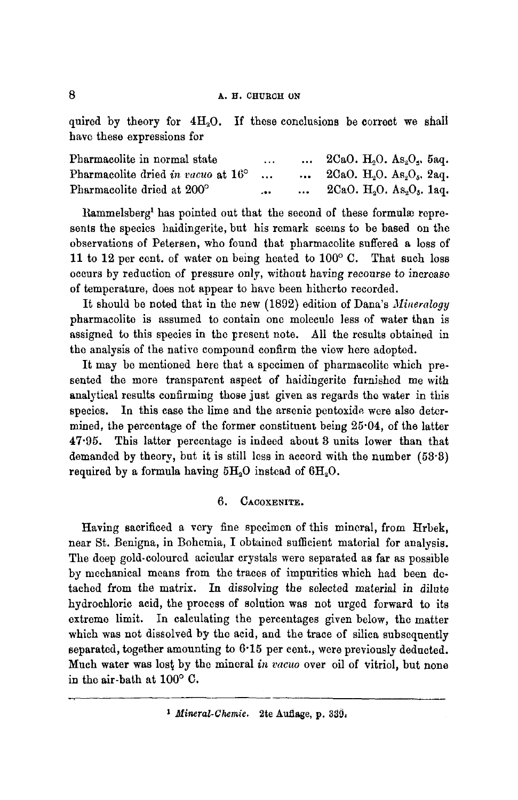quired by theory for  $4H_2O$ . If these conclusions be correct we shall have these expressions for

| Pharmacolite in normal state       | $\cdots$ | $2CaO. H_2O. As_2O_s.$ 5aq. |
|------------------------------------|----------|-----------------------------|
| Pharmacolite dried in vacuo at 16° |          | $2CaO. H2O. As2O5, 2aq.$    |
| Pharmacolite dried at 200°         | $-0.0$   | $2CaO. H_2O. As_2O_5. 1aq.$ |

Rammelsberg<sup>1</sup> has pointed out that the second of these formulæ represents the species haidingerite, but his remark seems to be based on the observations of Petersen, who found that pharmacolite suffered a loss of 11 to 12 per cent. of water on being heated to  $100^{\circ}$  C. That such loss occurs by reduction of pressure only, without having *recourse to* increase of temperature, does not appear to have been hitherto recorded.

It should be noted that in the new (1892) edition of Dana's *Mineralogy*  pharmacolite is assumed to contain one molecule less of water than is assigned to this species in the present note. All the results obtained in the analysis of the native compound confirm the view here adopted.

It may be mentioned here that a specimen of pharmacolite which presented the more transparent aspect of haidingerite furnished me with analytical results confirming those just given as regards the water in this species. In this case the lime and the arsenic pentoxide were also determined, the percentage of the former constituent being 25.04, of the latter 47.95. This latter percentage is indeed about 3 units lower than that demanded by theory, but it is still less in accord with the number (53.8) required by a formula having  $5H_2O$  instead of  $6H_2O$ .

#### 6. CACOXENITE.

Having sacrificed a very fine specimen of this mineral, from Hrbek, near St. Bcnigna, in Bohemia, I obtained sufficient material for analysis. The deep gold-eoloured aeieular crystals were separated as far as possible by mechanical means from the traces of impurities which had been detached from the matrix. In dissolving the selected material in dilute hydrochloric acid, the process of solution was not urged forward to its extreme limit. In calculating the percentages given below, the matter which was not dissolved by the acid, and the trace of silica subsequently separated, together amounting to 6.15 per cent., were previously deducted. Much water was lost by the mineral *in vacuo* over oil of vitriol, but none in the air-bath at  $100^{\circ}$  C.

*I Mineral-Chemic.* 2te Aufiage, p. 330,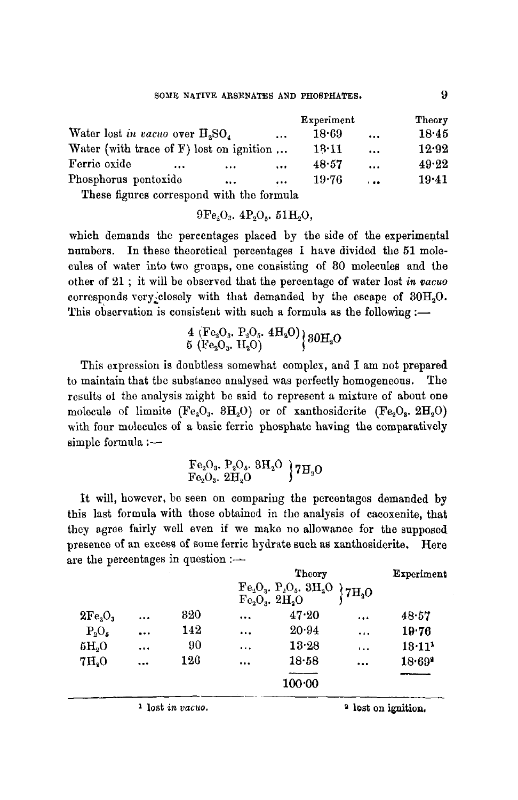|                                             |          | Experiment<br>Theory |                |       |
|---------------------------------------------|----------|----------------------|----------------|-------|
| Water lost in vacuo over $H_2SO_4$          | 18.69    | $\ddotsc$            | 1845           |       |
| Water (with trace of $F$ ) lost on ignition |          | 13.11                | $\ddotsc$      | 12.92 |
| Ferric oxide<br>$\cdots$<br>$\cdots$        | $\cdots$ | 48.57                | $\cdots$       | 49.22 |
| Phosphorus pentoxide<br>                    | $\cdots$ | 19.76                | $\overline{1}$ | 19.41 |
|                                             |          |                      |                |       |

These figures correspond with the formula

 $9Fe_2O_3$ ,  $4Po_9$ ,  $51H_9O$ ,

which demands the percentages placed by the side of the experimental numbers. In these theoretical percentages i have divided the 51 molecules of water into two groups, one consisting of 80 molecules and the other of 21 ; it will be observed that the percentage of water lost *in vacuo*  corresponds very closely with that demanded by the escape of  $30H<sub>2</sub>O$ . This observation is consistent with such a formula as the following :-

> $4 \left( \text{Fe}_2\text{O}_3, \text{ P}_2\text{O}_5, \text{ 4H}_2\text{O} \right)$   $80\text{H}$  O  $5 \;{\rm (Fe_2O_3.\;H_2O)}$

This expression is doubtless somewhat complex, and I am not prepared to maintain that the substance analysed was perfectly homogeneous. The results ot the analysis might be said to represent a mixture of about one molecule of limnite (Fe<sub>2</sub>O<sub>3</sub>. 3H<sub>2</sub>O) or of xanthosiderite (Fe<sub>2</sub>O<sub>3</sub>. 2H<sub>2</sub>O) with four molecules of a basic ferric phosphate having the comparatively simple formula :-

$$
\begin{array}{l}\text{Fe}_2\text{O}_3,\ \text{P}_3\text{O}_5,\ 8\text{H}_2\text{O} \\ \text{Fe}_2\text{O}_3,\ 2\text{H}_2\text{O}\end{array}\Big\}7\text{H}_3\text{O}
$$

It will, however, be seen on comparing the percentages demanded by this last formula with those obtained in the analysis of cacoxenite, that they agree fairly well even if we make no allowance for the supposed presence of an excess of some ferric hydrate such as xanthosiderite. Here are the percentages in question  $:$ ---

|                                 |                                                                           |     |          | Theory |           |                      |  |
|---------------------------------|---------------------------------------------------------------------------|-----|----------|--------|-----------|----------------------|--|
|                                 | ${\rm [Fe_2O_3,~P_2O_5,~3H_2O$ \choose Fe_2O_3,~2H_2O}$ 7H <sub>2</sub> O |     |          |        |           |                      |  |
| 2Fe <sub>3</sub> O <sub>3</sub> | $\cdots$                                                                  | 820 | $\cdots$ | 47.20  |           | 48.57                |  |
| $P_9O_5$                        | $\cdots$                                                                  | 142 | $\cdots$ | 20.94  | $\ddotsc$ | 19.76                |  |
| $\delta H_2O$                   | $\cdots$                                                                  | 90  | $\cdots$ | 13.28  | $\cdots$  | $18 \cdot 11^{1}$    |  |
| 7H <sub>o</sub>                 | $\cdots$                                                                  | 126 | $\cdots$ | 18.58  |           | $18.69$ <sup>2</sup> |  |
|                                 |                                                                           |     |          | 100.00 |           |                      |  |

<sup>1</sup> lost *in vacuo*. <sup>2</sup> lost on ignition,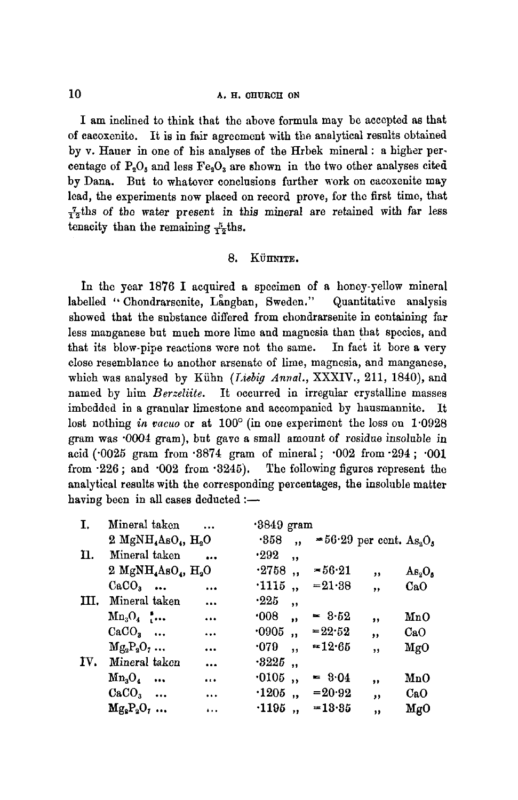#### 10 **h.H. CHURCH ON**

I am inclined to think that the above formula may be accepted as that of cacoxenite. It is in fair agreement with the analytical results obtained by v. Hauer in one of his analyses of the Hrbek mineral : a higher per. centage of  $P_2O_5$  and less  $Fe_3O_3$  are shown in the two other analyses cited by Dana. But to whatever conclusions further work on cacoxenite may lead, the experiments now placed on record prove, for the first time, that  $\frac{7}{12}$ ths of the water present in this mineral are retained with far less tenacity than the remaining  $\frac{5}{12}$ ths.

#### 8. KUIMITE.

In the year 1876 I acquired a specimen of a honey-yellow mineral labelled "Chondrarsenite, Langban, Sweden." Quantitative analysis showed that the substance differed from chondrarsenite in containing far less manganese but much more lime and magnesia than that species, and that its blow-pipe reactions were not the same. In fact it bore a very close resemblance to another arsenate of lime, magnesia, and manganese, which was analysed by Kühn *(Liebig Annal., XXXIV., 211, 1840)*, and named by him *Berzeliite*. It occurred in irregular crystalline masses imbedded in a granular limestone and accompanied by hausmannite. It lost nothing *in vacuo* or at 100° (in one experiment the loss on 1.0928 gram was "0004 gram), but gave a small amount of residue insoluble in acid ('0025 gram from '3874 gram of mineral ; "002 from'294 ; "001 from  $226$ ; and  $002$  from  $3245$ ). The following figures represent the analytical results with the corresponding percentages, the insoluble maiter having been in all cases deducted  $:$ --

| I.  | Mineral taken                                           |           | .3849 gram                       |                            |                         |                 |
|-----|---------------------------------------------------------|-----------|----------------------------------|----------------------------|-------------------------|-----------------|
|     | 2 MgNH <sub>4</sub> AsO <sub>4</sub> , H <sub>2</sub> O |           | .358<br>$\ddot{\phantom{0}}$     | =56.29 per cent. $As_2O_5$ |                         |                 |
| Π.  | Mineral taken                                           |           | .292<br>$\overline{\mathbf{1}}$  |                            |                         |                 |
|     | 2 MgNH <sub>4</sub> AsO <sub>4</sub> , H <sub>2</sub> O |           | .2758<br>$\ddot{\phantom{1}}$    | $= 56.21$                  | ,,                      | $As_2O_5$       |
|     | $CaCO3$                                                 | $\cdots$  | .1115,                           | $= 21.38$                  | ,                       | CaO             |
| Ш.  | Mineral taken                                           | $\cdots$  | $\cdot 225$<br>,                 |                            |                         |                 |
|     | $Mn_3O_4$                                               | $\cdots$  | $\cdot 008$<br>,,                | $= 3.52$                   | ,,                      | MnO             |
|     | $CaCO3$                                                 | $\ddotsc$ | .0905<br>$\overline{\mathbf{u}}$ | $= 22.52$                  | ,                       | CaO             |
|     | $Mg_3P_3O_7$                                            | $\ddotsc$ | $\cdot 079$<br>,,                | $= 12.65$                  | $\overline{\mathbf{z}}$ | $_{\text{MgO}}$ |
| IV. | Mineral taken                                           | $\ddotsc$ | $\cdot 3225$<br>$\cdot$          |                            |                         |                 |
|     | $Mn_3O_4$                                               | $\cdots$  | $\cdot$ 0105<br>,                | $= 8.04$                   | ,,                      | MnO             |
|     | $CaCO3$                                                 | $\cdots$  | $\cdot 1205$ ,                   | $= 20.92$                  | ,                       | CaO             |
|     | $Mg_2P_2O_7$                                            | $\cdots$  | $\cdot$ 1195<br>$\cdot$          | $=13.35$                   | $\bullet$               | MgO             |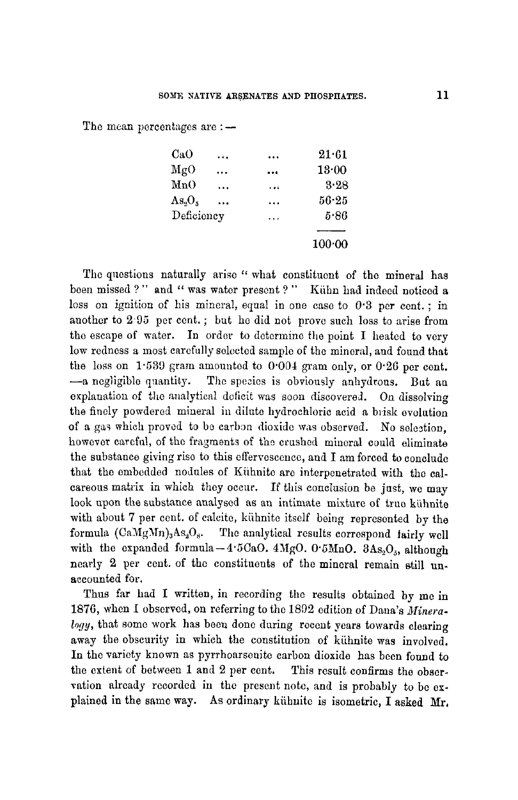The mean percentages are  $: -$ 

| CaO        |           |           | 21.61     |
|------------|-----------|-----------|-----------|
| MgO        |           |           | 13.00     |
| MnO        | .         |           | 3.28      |
| As.0,      | $\ddotsc$ | .         | $56 - 25$ |
| Deficiency |           | $\ddotsc$ | 5.86      |
|            |           |           |           |
|            |           |           | 100:00    |

The questions naturally arise " what constituent of the mineral has been missed ?" and " was water present ?" Kühn had indeed noticed a loss on ignition of his mineral, equal in one case to  $0.3$  per cent.; in another to 2.95 per cent.; but he did not prove such loss to arise from the escape of water. In order to determine the point I heated to very low redness a most carefully selected sample of the mineral, and found that the loss on 1.539 gram amounted to 0.004 gram only, or 0.26 per cent.  $-$ a negligible quantity. The species is obviously anhydrous. But an explanation of the analytical deficit was soon discovered. On dissolving the finely powdered mineral in dilute hydrochloric acid a brisk evolution of a gas which proved to be carbon dioxide was observed. No selection, however careful, of the fragments of the crushed mineral could eliminate the substance giving rise to this effervescence, and I am forced to conclude that the embedded nodules of Kühnite are interpenetrated with the calcareous matrix in which they occur. If this conclusion be just, we may look upon the substance analysed as an intimate mixture of true kühnite with about 7 per cent. of calcite, kühnite itself being represented by the formula  $(CaMgMn)_3As_3O_8$ . The analytical results correspond fairly well with the expanded formula-4.5CaO. 4MgO. 0.5MnO.  $3As_2O<sub>5</sub>$ , although nearly 2 per cent. of the constituents of the mineral remain still unaccounted for.

Thus far had I written, in recording the results obtained by me in 1876, when I observed, on referring to the 1892 edition of Dana's *Mineraloqy*, that some work has been done during recent years towards clearing away the obscurity in which the constitution of kühnite was involved. In the variety known as pyrrhoarsenite carbon dioxide has been found to the extent of between 1 and 2 per cent. This result confirms the observation already recorded in the present note, and is probably to be explained in the same way. As ordinary kiihnite is isometric, I asked Mr,